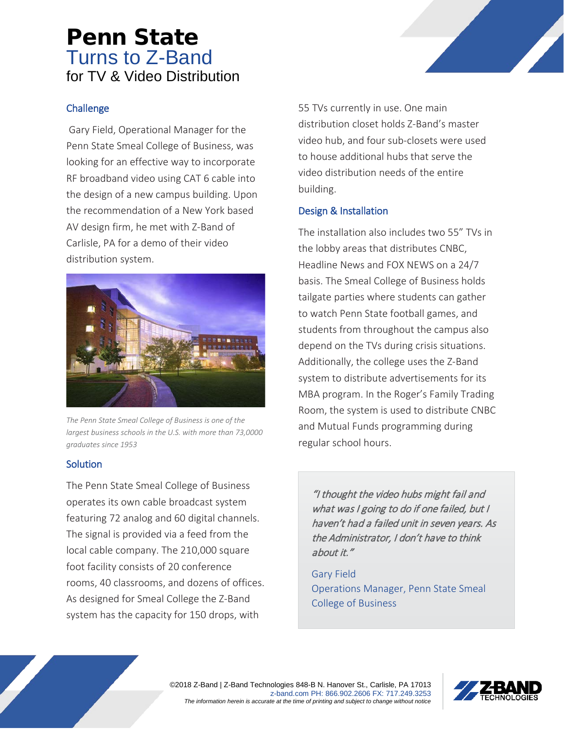# Penn State Turns to Z-Band for TV & Video Distribution

### **Challenge**

Gary Field, Operational Manager for the Penn State Smeal College of Business, was looking for an effective way to incorporate RF broadband video using CAT 6 cable into the design of a new campus building. Upon the recommendation of a New York based AV design firm, he met with Z-Band of Carlisle, PA for a demo of their video distribution system.



*The Penn State Smeal College of Business is one of the largest business schools in the U.S. with more than 73,0000 graduates since 1953*

### **Solution**

The Penn State Smeal College of Business operates its own cable broadcast system featuring 72 analog and 60 digital channels. The signal is provided via a feed from the local cable company. The 210,000 square foot facility consists of 20 conference rooms, 40 classrooms, and dozens of offices. As designed for Smeal College the Z-Band system has the capacity for 150 drops, with

55 TVs currently in use. One main distribution closet holds Z-Band's master video hub, and four sub-closets were used to house additional hubs that serve the video distribution needs of the entire building.

## Design & Installation

The installation also includes two 55" TVs in the lobby areas that distributes CNBC, Headline News and FOX NEWS on a 24/7 basis. The Smeal College of Business holds tailgate parties where students can gather to watch Penn State football games, and students from throughout the campus also depend on the TVs during crisis situations. Additionally, the college uses the Z-Band system to distribute advertisements for its MBA program. In the Roger's Family Trading Room, the system is used to distribute CNBC and Mutual Funds programming during regular school hours.

"I thought the video hubs might fail and what was I going to do if one failed, but I haven't had a failed unit in seven years. As the Administrator, I don't have to think about it."

Gary Field Operations Manager, Penn State Smeal College of Business